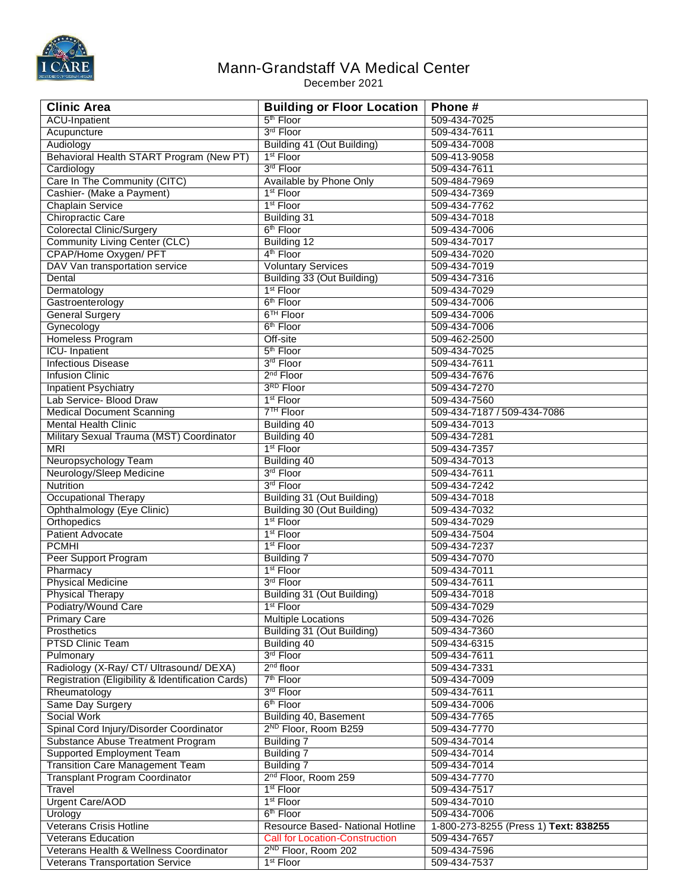

## Mann-Grandstaff VA Medical Center

December 2021

| <b>Clinic Area</b>                                | <b>Building or Floor Location</b>     | Phone#                                |
|---------------------------------------------------|---------------------------------------|---------------------------------------|
| <b>ACU-Inpatient</b>                              | 5 <sup>th</sup> Floor                 | 509-434-7025                          |
| Acupuncture                                       | 3rd Floor                             | 509-434-7611                          |
| Audiology                                         | Building 41 (Out Building)            | 509-434-7008                          |
| Behavioral Health START Program (New PT)          | 1 <sup>st</sup> Floor                 | 509-413-9058                          |
| Cardiology                                        | 3rd Floor                             | 509-434-7611                          |
| Care In The Community (CITC)                      | Available by Phone Only               | 509-484-7969                          |
| Cashier- (Make a Payment)                         | 1 <sup>st</sup> Floor                 | 509-434-7369                          |
| <b>Chaplain Service</b>                           | 1 <sup>st</sup> Floor                 | 509-434-7762                          |
| Chiropractic Care                                 | <b>Building 31</b>                    | 509-434-7018                          |
| <b>Colorectal Clinic/Surgery</b>                  | 6 <sup>th</sup> Floor                 | 509-434-7006                          |
| <b>Community Living Center (CLC)</b>              | <b>Building 12</b>                    | 509-434-7017                          |
| CPAP/Home Oxygen/ PFT                             | 4 <sup>th</sup> Floor                 | 509-434-7020                          |
| DAV Van transportation service                    | <b>Voluntary Services</b>             | 509-434-7019                          |
| Dental                                            | Building 33 (Out Building)            | 509-434-7316                          |
| Dermatology                                       | 1 <sup>st</sup> Floor                 | 509-434-7029                          |
| Gastroenterology                                  | 6 <sup>th</sup> Floor                 | 509-434-7006                          |
| <b>General Surgery</b>                            | 6 <sup>TH</sup> Floor                 | 509-434-7006                          |
| Gynecology                                        | 6 <sup>th</sup> Floor                 | 509-434-7006                          |
| Homeless Program                                  | Off-site                              | 509-462-2500                          |
| <b>ICU-</b> Inpatient                             | 5 <sup>th</sup> Floor                 | 509-434-7025                          |
| <b>Infectious Disease</b>                         | 3rd Floor                             | 509-434-7611                          |
| <b>Infusion Clinic</b>                            | 2 <sup>nd</sup> Floor                 | 509-434-7676                          |
| <b>Inpatient Psychiatry</b>                       | 3RD Floor                             | 509-434-7270                          |
| Lab Service- Blood Draw                           | 1 <sup>st</sup> Floor                 | 509-434-7560                          |
| <b>Medical Document Scanning</b>                  | 7 <sup>TH</sup> Floor                 | 509-434-7187 / 509-434-7086           |
| <b>Mental Health Clinic</b>                       | Building 40                           | 509-434-7013                          |
| Military Sexual Trauma (MST) Coordinator          | Building 40                           | 509-434-7281                          |
| <b>MRI</b>                                        | 1 <sup>st</sup> Floor                 | 509-434-7357                          |
| Neuropsychology Team                              | Building 40                           | 509-434-7013                          |
| Neurology/Sleep Medicine                          | 3rd Floor                             | 509-434-7611                          |
| <b>Nutrition</b>                                  | 3rd Floor                             | 509-434-7242                          |
| <b>Occupational Therapy</b>                       | Building 31 (Out Building)            | 509-434-7018                          |
| Ophthalmology (Eye Clinic)                        | Building 30 (Out Building)            | 509-434-7032                          |
| Orthopedics                                       | 1 <sup>st</sup> Floor                 | 509-434-7029                          |
| <b>Patient Advocate</b>                           | 1 <sup>st</sup> Floor                 | 509-434-7504                          |
| <b>PCMHI</b>                                      | 1 <sup>st</sup> Floor                 | 509-434-7237                          |
| Peer Support Program                              | <b>Building 7</b>                     | 509-434-7070                          |
| Pharmacy                                          | 1 <sup>st</sup> Floor                 | 509-434-7011                          |
| <b>Physical Medicine</b>                          | 3rd Floor                             | 509-434-7611                          |
| <b>Physical Therapy</b>                           | Building 31 (Out Building)            | 509-434-7018                          |
| Podiatry/Wound Care                               | 1 <sup>st</sup> Floor                 | 509-434-7029                          |
| <b>Primary Care</b>                               | <b>Multiple Locations</b>             | 509-434-7026                          |
| Prosthetics                                       | Building 31 (Out Building)            | 509-434-7360                          |
| <b>PTSD Clinic Team</b>                           | Building 40                           | 509-434-6315                          |
| Pulmonary                                         | 3rd Floor                             | 509-434-7611                          |
| Radiology (X-Ray/ CT/ Ultrasound/ DEXA)           | $2nd$ floor                           | 509-434-7331                          |
| Registration (Eligibility & Identification Cards) | 7 <sup>th</sup> Floor                 | 509-434-7009                          |
| Rheumatology                                      | 3rd Floor                             | 509-434-7611                          |
| Same Day Surgery                                  | 6 <sup>th</sup> Floor                 | 509-434-7006                          |
| <b>Social Work</b>                                | Building 40, Basement                 | 509-434-7765                          |
| Spinal Cord Injury/Disorder Coordinator           | 2 <sup>ND</sup> Floor, Room B259      | 509-434-7770                          |
| Substance Abuse Treatment Program                 | Building 7                            | 509-434-7014                          |
| <b>Supported Employment Team</b>                  | <b>Building 7</b>                     | 509-434-7014                          |
| <b>Transition Care Management Team</b>            | Building 7                            | 509-434-7014                          |
| <b>Transplant Program Coordinator</b>             | 2 <sup>nd</sup> Floor, Room 259       | 509-434-7770                          |
| Travel                                            | 1 <sup>st</sup> Floor                 | 509-434-7517                          |
| Urgent Care/AOD                                   | 1 <sup>st</sup> Floor                 | 509-434-7010                          |
| Urology                                           | 6 <sup>th</sup> Floor                 | 509-434-7006                          |
| <b>Veterans Crisis Hotline</b>                    | Resource Based- National Hotline      | 1-800-273-8255 (Press 1) Text: 838255 |
| <b>Veterans Education</b>                         | <b>Call for Location-Construction</b> | 509-434-7657                          |
| Veterans Health & Wellness Coordinator            | 2 <sup>ND</sup> Floor, Room 202       | 509-434-7596                          |
| <b>Veterans Transportation Service</b>            | 1 <sup>st</sup> Floor                 | 509-434-7537                          |
|                                                   |                                       |                                       |